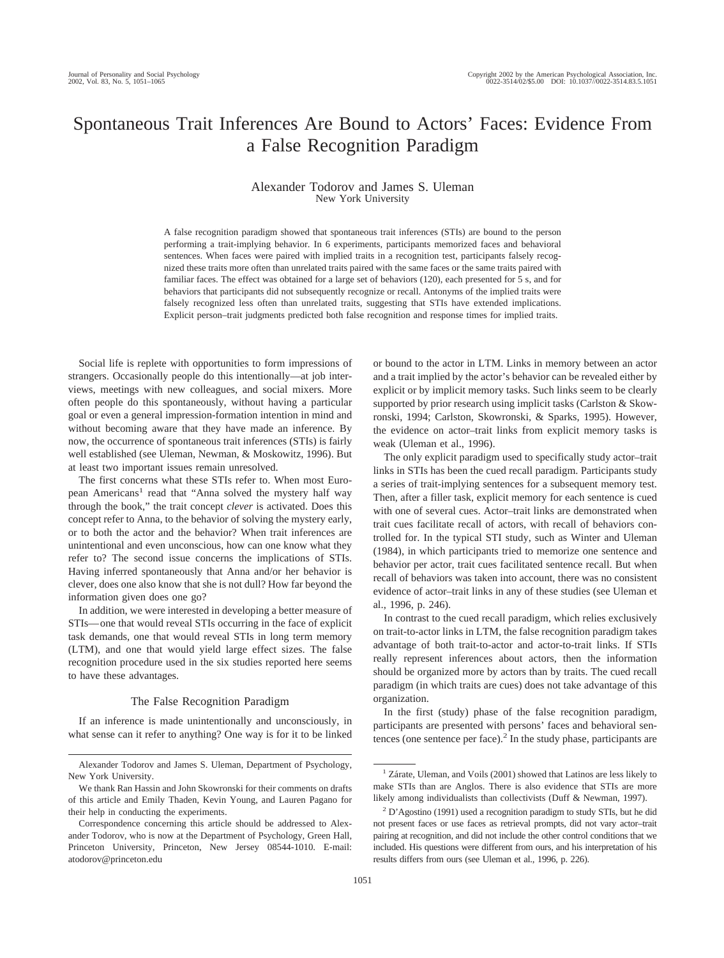# Spontaneous Trait Inferences Are Bound to Actors' Faces: Evidence From a False Recognition Paradigm

## Alexander Todorov and James S. Uleman New York University

A false recognition paradigm showed that spontaneous trait inferences (STIs) are bound to the person performing a trait-implying behavior. In 6 experiments, participants memorized faces and behavioral sentences. When faces were paired with implied traits in a recognition test, participants falsely recognized these traits more often than unrelated traits paired with the same faces or the same traits paired with familiar faces. The effect was obtained for a large set of behaviors (120), each presented for 5 s, and for behaviors that participants did not subsequently recognize or recall. Antonyms of the implied traits were falsely recognized less often than unrelated traits, suggesting that STIs have extended implications. Explicit person–trait judgments predicted both false recognition and response times for implied traits.

Social life is replete with opportunities to form impressions of strangers. Occasionally people do this intentionally—at job interviews, meetings with new colleagues, and social mixers. More often people do this spontaneously, without having a particular goal or even a general impression-formation intention in mind and without becoming aware that they have made an inference. By now, the occurrence of spontaneous trait inferences (STIs) is fairly well established (see Uleman, Newman, & Moskowitz, 1996). But at least two important issues remain unresolved.

The first concerns what these STIs refer to. When most European Americans<sup>1</sup> read that "Anna solved the mystery half way through the book," the trait concept *clever* is activated. Does this concept refer to Anna, to the behavior of solving the mystery early, or to both the actor and the behavior? When trait inferences are unintentional and even unconscious, how can one know what they refer to? The second issue concerns the implications of STIs. Having inferred spontaneously that Anna and/or her behavior is clever, does one also know that she is not dull? How far beyond the information given does one go?

In addition, we were interested in developing a better measure of STIs—one that would reveal STIs occurring in the face of explicit task demands, one that would reveal STIs in long term memory (LTM), and one that would yield large effect sizes. The false recognition procedure used in the six studies reported here seems to have these advantages.

## The False Recognition Paradigm

If an inference is made unintentionally and unconsciously, in what sense can it refer to anything? One way is for it to be linked or bound to the actor in LTM. Links in memory between an actor and a trait implied by the actor's behavior can be revealed either by explicit or by implicit memory tasks. Such links seem to be clearly supported by prior research using implicit tasks (Carlston & Skowronski, 1994; Carlston, Skowronski, & Sparks, 1995). However, the evidence on actor–trait links from explicit memory tasks is weak (Uleman et al., 1996).

The only explicit paradigm used to specifically study actor–trait links in STIs has been the cued recall paradigm. Participants study a series of trait-implying sentences for a subsequent memory test. Then, after a filler task, explicit memory for each sentence is cued with one of several cues. Actor–trait links are demonstrated when trait cues facilitate recall of actors, with recall of behaviors controlled for. In the typical STI study, such as Winter and Uleman (1984), in which participants tried to memorize one sentence and behavior per actor, trait cues facilitated sentence recall. But when recall of behaviors was taken into account, there was no consistent evidence of actor–trait links in any of these studies (see Uleman et al., 1996, p. 246).

In contrast to the cued recall paradigm, which relies exclusively on trait-to-actor links in LTM, the false recognition paradigm takes advantage of both trait-to-actor and actor-to-trait links. If STIs really represent inferences about actors, then the information should be organized more by actors than by traits. The cued recall paradigm (in which traits are cues) does not take advantage of this organization.

In the first (study) phase of the false recognition paradigm, participants are presented with persons' faces and behavioral sentences (one sentence per face). $<sup>2</sup>$  In the study phase, participants are</sup>

Alexander Todorov and James S. Uleman, Department of Psychology, New York University.

We thank Ran Hassin and John Skowronski for their comments on drafts of this article and Emily Thaden, Kevin Young, and Lauren Pagano for their help in conducting the experiments.

Correspondence concerning this article should be addressed to Alexander Todorov, who is now at the Department of Psychology, Green Hall, Princeton University, Princeton, New Jersey 08544-1010. E-mail: atodorov@princeton.edu

 $1$  Zárate, Uleman, and Voils (2001) showed that Latinos are less likely to make STIs than are Anglos. There is also evidence that STIs are more likely among individualists than collectivists (Duff & Newman, 1997).

<sup>2</sup> D'Agostino (1991) used a recognition paradigm to study STIs, but he did not present faces or use faces as retrieval prompts, did not vary actor–trait pairing at recognition, and did not include the other control conditions that we included. His questions were different from ours, and his interpretation of his results differs from ours (see Uleman et al., 1996, p. 226).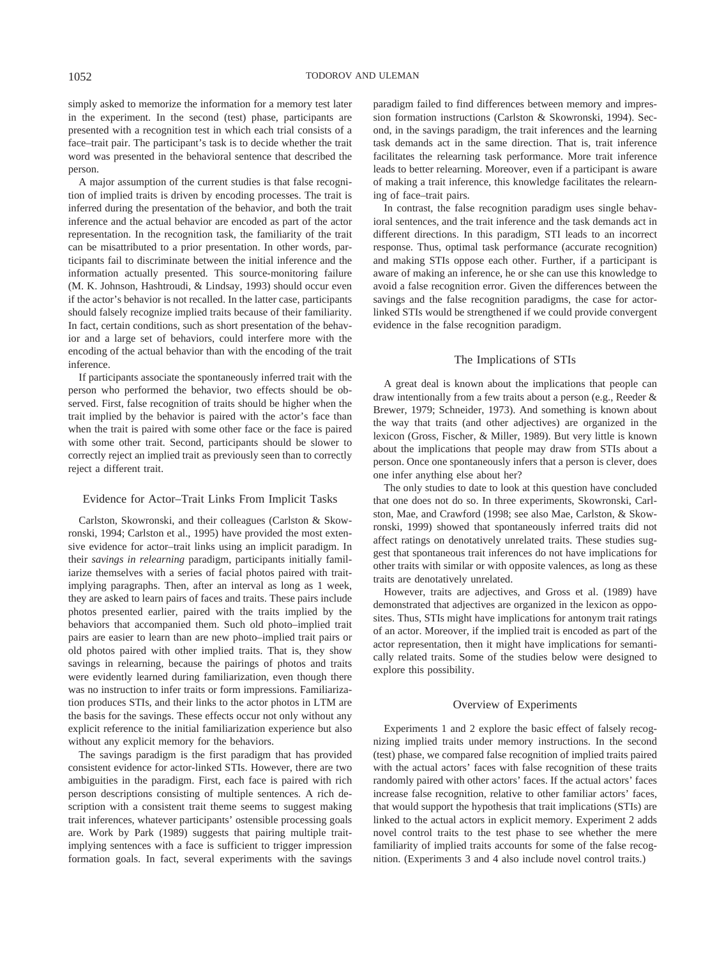simply asked to memorize the information for a memory test later in the experiment. In the second (test) phase, participants are presented with a recognition test in which each trial consists of a face–trait pair. The participant's task is to decide whether the trait word was presented in the behavioral sentence that described the person.

A major assumption of the current studies is that false recognition of implied traits is driven by encoding processes. The trait is inferred during the presentation of the behavior, and both the trait inference and the actual behavior are encoded as part of the actor representation. In the recognition task, the familiarity of the trait can be misattributed to a prior presentation. In other words, participants fail to discriminate between the initial inference and the information actually presented. This source-monitoring failure (M. K. Johnson, Hashtroudi, & Lindsay, 1993) should occur even if the actor's behavior is not recalled. In the latter case, participants should falsely recognize implied traits because of their familiarity. In fact, certain conditions, such as short presentation of the behavior and a large set of behaviors, could interfere more with the encoding of the actual behavior than with the encoding of the trait inference.

If participants associate the spontaneously inferred trait with the person who performed the behavior, two effects should be observed. First, false recognition of traits should be higher when the trait implied by the behavior is paired with the actor's face than when the trait is paired with some other face or the face is paired with some other trait. Second, participants should be slower to correctly reject an implied trait as previously seen than to correctly reject a different trait.

#### Evidence for Actor–Trait Links From Implicit Tasks

Carlston, Skowronski, and their colleagues (Carlston & Skowronski, 1994; Carlston et al., 1995) have provided the most extensive evidence for actor–trait links using an implicit paradigm. In their *savings in relearning* paradigm, participants initially familiarize themselves with a series of facial photos paired with traitimplying paragraphs. Then, after an interval as long as 1 week, they are asked to learn pairs of faces and traits. These pairs include photos presented earlier, paired with the traits implied by the behaviors that accompanied them. Such old photo–implied trait pairs are easier to learn than are new photo–implied trait pairs or old photos paired with other implied traits. That is, they show savings in relearning, because the pairings of photos and traits were evidently learned during familiarization, even though there was no instruction to infer traits or form impressions. Familiarization produces STIs, and their links to the actor photos in LTM are the basis for the savings. These effects occur not only without any explicit reference to the initial familiarization experience but also without any explicit memory for the behaviors.

The savings paradigm is the first paradigm that has provided consistent evidence for actor-linked STIs. However, there are two ambiguities in the paradigm. First, each face is paired with rich person descriptions consisting of multiple sentences. A rich description with a consistent trait theme seems to suggest making trait inferences, whatever participants' ostensible processing goals are. Work by Park (1989) suggests that pairing multiple traitimplying sentences with a face is sufficient to trigger impression formation goals. In fact, several experiments with the savings paradigm failed to find differences between memory and impression formation instructions (Carlston & Skowronski, 1994). Second, in the savings paradigm, the trait inferences and the learning task demands act in the same direction. That is, trait inference facilitates the relearning task performance. More trait inference leads to better relearning. Moreover, even if a participant is aware of making a trait inference, this knowledge facilitates the relearning of face–trait pairs.

In contrast, the false recognition paradigm uses single behavioral sentences, and the trait inference and the task demands act in different directions. In this paradigm, STI leads to an incorrect response. Thus, optimal task performance (accurate recognition) and making STIs oppose each other. Further, if a participant is aware of making an inference, he or she can use this knowledge to avoid a false recognition error. Given the differences between the savings and the false recognition paradigms, the case for actorlinked STIs would be strengthened if we could provide convergent evidence in the false recognition paradigm.

#### The Implications of STIs

A great deal is known about the implications that people can draw intentionally from a few traits about a person (e.g., Reeder & Brewer, 1979; Schneider, 1973). And something is known about the way that traits (and other adjectives) are organized in the lexicon (Gross, Fischer, & Miller, 1989). But very little is known about the implications that people may draw from STIs about a person. Once one spontaneously infers that a person is clever, does one infer anything else about her?

The only studies to date to look at this question have concluded that one does not do so. In three experiments, Skowronski, Carlston, Mae, and Crawford (1998; see also Mae, Carlston, & Skowronski, 1999) showed that spontaneously inferred traits did not affect ratings on denotatively unrelated traits. These studies suggest that spontaneous trait inferences do not have implications for other traits with similar or with opposite valences, as long as these traits are denotatively unrelated.

However, traits are adjectives, and Gross et al. (1989) have demonstrated that adjectives are organized in the lexicon as opposites. Thus, STIs might have implications for antonym trait ratings of an actor. Moreover, if the implied trait is encoded as part of the actor representation, then it might have implications for semantically related traits. Some of the studies below were designed to explore this possibility.

#### Overview of Experiments

Experiments 1 and 2 explore the basic effect of falsely recognizing implied traits under memory instructions. In the second (test) phase, we compared false recognition of implied traits paired with the actual actors' faces with false recognition of these traits randomly paired with other actors' faces. If the actual actors' faces increase false recognition, relative to other familiar actors' faces, that would support the hypothesis that trait implications (STIs) are linked to the actual actors in explicit memory. Experiment 2 adds novel control traits to the test phase to see whether the mere familiarity of implied traits accounts for some of the false recognition. (Experiments 3 and 4 also include novel control traits.)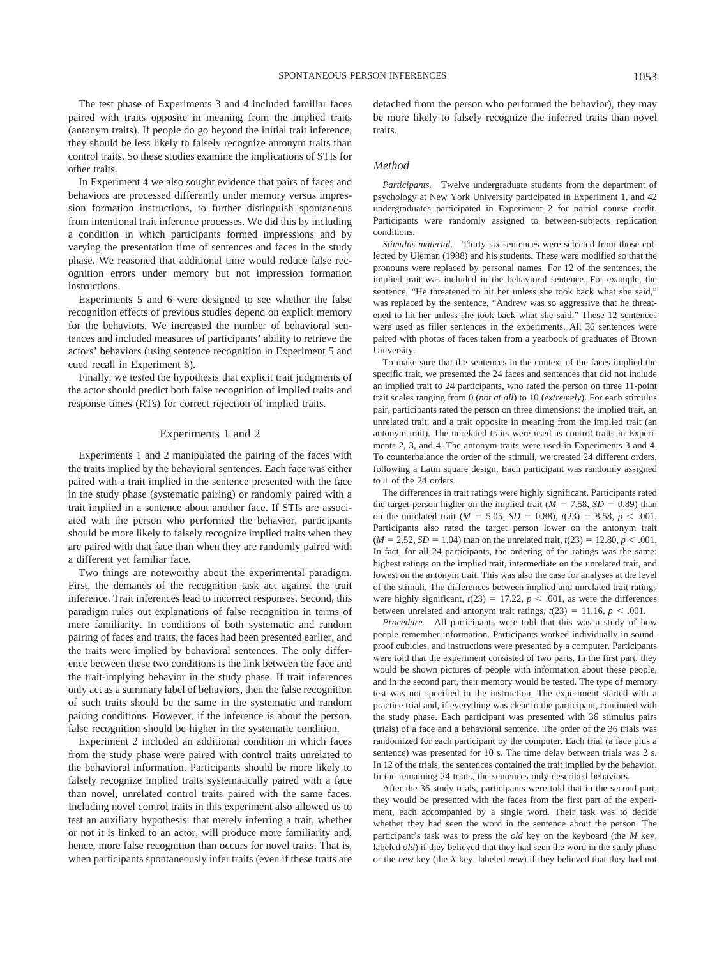The test phase of Experiments 3 and 4 included familiar faces paired with traits opposite in meaning from the implied traits (antonym traits). If people do go beyond the initial trait inference, they should be less likely to falsely recognize antonym traits than control traits. So these studies examine the implications of STIs for other traits.

In Experiment 4 we also sought evidence that pairs of faces and behaviors are processed differently under memory versus impression formation instructions, to further distinguish spontaneous from intentional trait inference processes. We did this by including a condition in which participants formed impressions and by varying the presentation time of sentences and faces in the study phase. We reasoned that additional time would reduce false recognition errors under memory but not impression formation instructions.

Experiments 5 and 6 were designed to see whether the false recognition effects of previous studies depend on explicit memory for the behaviors. We increased the number of behavioral sentences and included measures of participants' ability to retrieve the actors' behaviors (using sentence recognition in Experiment 5 and cued recall in Experiment 6).

Finally, we tested the hypothesis that explicit trait judgments of the actor should predict both false recognition of implied traits and response times (RTs) for correct rejection of implied traits.

#### Experiments 1 and 2

Experiments 1 and 2 manipulated the pairing of the faces with the traits implied by the behavioral sentences. Each face was either paired with a trait implied in the sentence presented with the face in the study phase (systematic pairing) or randomly paired with a trait implied in a sentence about another face. If STIs are associated with the person who performed the behavior, participants should be more likely to falsely recognize implied traits when they are paired with that face than when they are randomly paired with a different yet familiar face.

Two things are noteworthy about the experimental paradigm. First, the demands of the recognition task act against the trait inference. Trait inferences lead to incorrect responses. Second, this paradigm rules out explanations of false recognition in terms of mere familiarity. In conditions of both systematic and random pairing of faces and traits, the faces had been presented earlier, and the traits were implied by behavioral sentences. The only difference between these two conditions is the link between the face and the trait-implying behavior in the study phase. If trait inferences only act as a summary label of behaviors, then the false recognition of such traits should be the same in the systematic and random pairing conditions. However, if the inference is about the person, false recognition should be higher in the systematic condition.

Experiment 2 included an additional condition in which faces from the study phase were paired with control traits unrelated to the behavioral information. Participants should be more likely to falsely recognize implied traits systematically paired with a face than novel, unrelated control traits paired with the same faces. Including novel control traits in this experiment also allowed us to test an auxiliary hypothesis: that merely inferring a trait, whether or not it is linked to an actor, will produce more familiarity and, hence, more false recognition than occurs for novel traits. That is, when participants spontaneously infer traits (even if these traits are detached from the person who performed the behavior), they may be more likely to falsely recognize the inferred traits than novel traits.

## *Method*

*Participants.* Twelve undergraduate students from the department of psychology at New York University participated in Experiment 1, and 42 undergraduates participated in Experiment 2 for partial course credit. Participants were randomly assigned to between-subjects replication conditions.

*Stimulus material.* Thirty-six sentences were selected from those collected by Uleman (1988) and his students. These were modified so that the pronouns were replaced by personal names. For 12 of the sentences, the implied trait was included in the behavioral sentence. For example, the sentence, "He threatened to hit her unless she took back what she said," was replaced by the sentence, "Andrew was so aggressive that he threatened to hit her unless she took back what she said." These 12 sentences were used as filler sentences in the experiments. All 36 sentences were paired with photos of faces taken from a yearbook of graduates of Brown University.

To make sure that the sentences in the context of the faces implied the specific trait, we presented the 24 faces and sentences that did not include an implied trait to 24 participants, who rated the person on three 11-point trait scales ranging from 0 (*not at all*) to 10 (*extremely*). For each stimulus pair, participants rated the person on three dimensions: the implied trait, an unrelated trait, and a trait opposite in meaning from the implied trait (an antonym trait). The unrelated traits were used as control traits in Experiments 2, 3, and 4. The antonym traits were used in Experiments 3 and 4. To counterbalance the order of the stimuli, we created 24 different orders, following a Latin square design. Each participant was randomly assigned to 1 of the 24 orders.

The differences in trait ratings were highly significant. Participants rated the target person higher on the implied trait ( $M = 7.58$ ,  $SD = 0.89$ ) than on the unrelated trait ( $M = 5.05$ ,  $SD = 0.88$ ),  $t(23) = 8.58$ ,  $p < .001$ . Participants also rated the target person lower on the antonym trait  $(M = 2.52, SD = 1.04)$  than on the unrelated trait,  $t(23) = 12.80, p < .001$ . In fact, for all 24 participants, the ordering of the ratings was the same: highest ratings on the implied trait, intermediate on the unrelated trait, and lowest on the antonym trait. This was also the case for analyses at the level of the stimuli. The differences between implied and unrelated trait ratings were highly significant,  $t(23) = 17.22$ ,  $p < .001$ , as were the differences between unrelated and antonym trait ratings,  $t(23) = 11.16$ ,  $p < .001$ .

*Procedure.* All participants were told that this was a study of how people remember information. Participants worked individually in soundproof cubicles, and instructions were presented by a computer. Participants were told that the experiment consisted of two parts. In the first part, they would be shown pictures of people with information about these people, and in the second part, their memory would be tested. The type of memory test was not specified in the instruction. The experiment started with a practice trial and, if everything was clear to the participant, continued with the study phase. Each participant was presented with 36 stimulus pairs (trials) of a face and a behavioral sentence. The order of the 36 trials was randomized for each participant by the computer. Each trial (a face plus a sentence) was presented for 10 s. The time delay between trials was 2 s. In 12 of the trials, the sentences contained the trait implied by the behavior. In the remaining 24 trials, the sentences only described behaviors.

After the 36 study trials, participants were told that in the second part, they would be presented with the faces from the first part of the experiment, each accompanied by a single word. Their task was to decide whether they had seen the word in the sentence about the person. The participant's task was to press the *old* key on the keyboard (the *M* key, labeled *old*) if they believed that they had seen the word in the study phase or the *new* key (the *X* key, labeled *new*) if they believed that they had not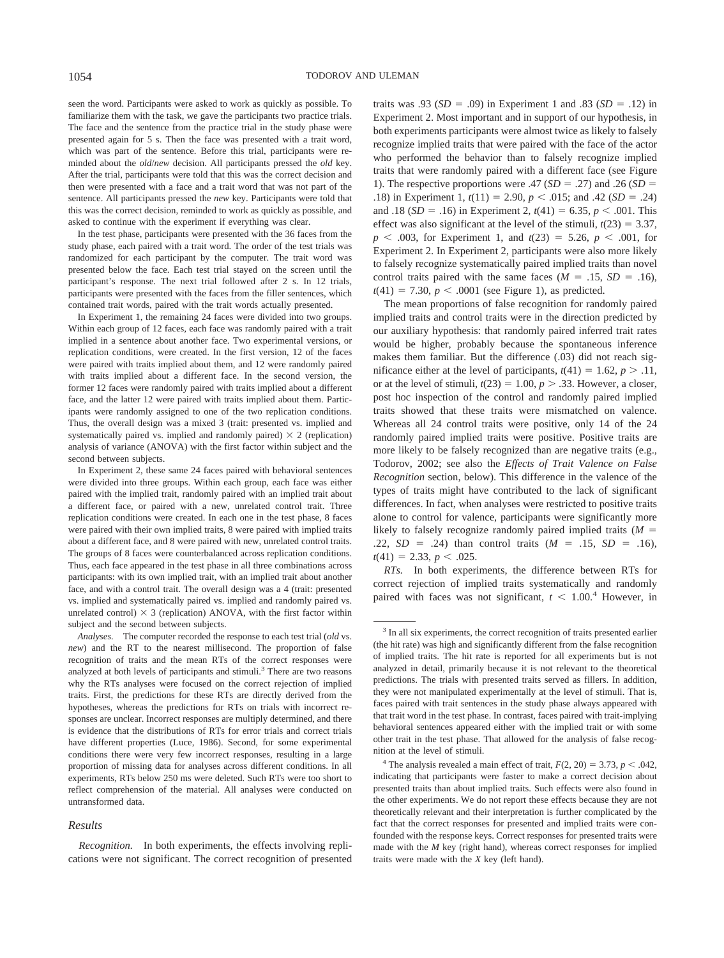seen the word. Participants were asked to work as quickly as possible. To familiarize them with the task, we gave the participants two practice trials. The face and the sentence from the practice trial in the study phase were presented again for 5 s. Then the face was presented with a trait word, which was part of the sentence. Before this trial, participants were reminded about the *old*/*new* decision. All participants pressed the *old* key. After the trial, participants were told that this was the correct decision and then were presented with a face and a trait word that was not part of the sentence. All participants pressed the *new* key. Participants were told that this was the correct decision, reminded to work as quickly as possible, and asked to continue with the experiment if everything was clear.

In the test phase, participants were presented with the 36 faces from the study phase, each paired with a trait word. The order of the test trials was randomized for each participant by the computer. The trait word was presented below the face. Each test trial stayed on the screen until the participant's response. The next trial followed after 2 s. In 12 trials, participants were presented with the faces from the filler sentences, which contained trait words, paired with the trait words actually presented.

In Experiment 1, the remaining 24 faces were divided into two groups. Within each group of 12 faces, each face was randomly paired with a trait implied in a sentence about another face. Two experimental versions, or replication conditions, were created. In the first version, 12 of the faces were paired with traits implied about them, and 12 were randomly paired with traits implied about a different face. In the second version, the former 12 faces were randomly paired with traits implied about a different face, and the latter 12 were paired with traits implied about them. Participants were randomly assigned to one of the two replication conditions. Thus, the overall design was a mixed 3 (trait: presented vs. implied and systematically paired vs. implied and randomly paired)  $\times$  2 (replication) analysis of variance (ANOVA) with the first factor within subject and the second between subjects.

In Experiment 2, these same 24 faces paired with behavioral sentences were divided into three groups. Within each group, each face was either paired with the implied trait, randomly paired with an implied trait about a different face, or paired with a new, unrelated control trait. Three replication conditions were created. In each one in the test phase, 8 faces were paired with their own implied traits, 8 were paired with implied traits about a different face, and 8 were paired with new, unrelated control traits. The groups of 8 faces were counterbalanced across replication conditions. Thus, each face appeared in the test phase in all three combinations across participants: with its own implied trait, with an implied trait about another face, and with a control trait. The overall design was a 4 (trait: presented vs. implied and systematically paired vs. implied and randomly paired vs. unrelated control)  $\times$  3 (replication) ANOVA, with the first factor within subject and the second between subjects.

*Analyses.* The computer recorded the response to each test trial (*old* vs. *new*) and the RT to the nearest millisecond. The proportion of false recognition of traits and the mean RTs of the correct responses were analyzed at both levels of participants and stimuli.<sup>3</sup> There are two reasons why the RTs analyses were focused on the correct rejection of implied traits. First, the predictions for these RTs are directly derived from the hypotheses, whereas the predictions for RTs on trials with incorrect responses are unclear. Incorrect responses are multiply determined, and there is evidence that the distributions of RTs for error trials and correct trials have different properties (Luce, 1986). Second, for some experimental conditions there were very few incorrect responses, resulting in a large proportion of missing data for analyses across different conditions. In all experiments, RTs below 250 ms were deleted. Such RTs were too short to reflect comprehension of the material. All analyses were conducted on untransformed data.

#### *Results*

*Recognition.* In both experiments, the effects involving replications were not significant. The correct recognition of presented traits was .93 ( $SD = .09$ ) in Experiment 1 and .83 ( $SD = .12$ ) in Experiment 2. Most important and in support of our hypothesis, in both experiments participants were almost twice as likely to falsely recognize implied traits that were paired with the face of the actor who performed the behavior than to falsely recognize implied traits that were randomly paired with a different face (see Figure 1). The respective proportions were .47 ( $SD = .27$ ) and .26 ( $SD =$ .18) in Experiment 1,  $t(11) = 2.90$ ,  $p < .015$ ; and .42 (*SD* = .24) and .18 (*SD* = .16) in Experiment 2,  $t(41) = 6.35, p < .001$ . This effect was also significant at the level of the stimuli,  $t(23) = 3.37$ ,  $p \leq 0.003$ , for Experiment 1, and  $t(23) = 5.26$ ,  $p \leq 0.001$ , for Experiment 2. In Experiment 2, participants were also more likely to falsely recognize systematically paired implied traits than novel control traits paired with the same faces  $(M = .15, SD = .16)$ ,  $t(41) = 7.30, p < .0001$  (see Figure 1), as predicted.

The mean proportions of false recognition for randomly paired implied traits and control traits were in the direction predicted by our auxiliary hypothesis: that randomly paired inferred trait rates would be higher, probably because the spontaneous inference makes them familiar. But the difference (.03) did not reach significance either at the level of participants,  $t(41) = 1.62$ ,  $p > .11$ , or at the level of stimuli,  $t(23) = 1.00$ ,  $p > .33$ . However, a closer, post hoc inspection of the control and randomly paired implied traits showed that these traits were mismatched on valence. Whereas all 24 control traits were positive, only 14 of the 24 randomly paired implied traits were positive. Positive traits are more likely to be falsely recognized than are negative traits (e.g., Todorov, 2002; see also the *Effects of Trait Valence on False Recognition* section, below). This difference in the valence of the types of traits might have contributed to the lack of significant differences. In fact, when analyses were restricted to positive traits alone to control for valence, participants were significantly more likely to falsely recognize randomly paired implied traits (*M* .22,  $SD = .24$ ) than control traits  $(M = .15, SD = .16)$ ,  $t(41) = 2.33, p < .025.$ 

*RTs.* In both experiments, the difference between RTs for correct rejection of implied traits systematically and randomly paired with faces was not significant,  $t < 1.00$ .<sup>4</sup> However, in

<sup>&</sup>lt;sup>3</sup> In all six experiments, the correct recognition of traits presented earlier (the hit rate) was high and significantly different from the false recognition of implied traits. The hit rate is reported for all experiments but is not analyzed in detail, primarily because it is not relevant to the theoretical predictions. The trials with presented traits served as fillers. In addition, they were not manipulated experimentally at the level of stimuli. That is, faces paired with trait sentences in the study phase always appeared with that trait word in the test phase. In contrast, faces paired with trait-implying behavioral sentences appeared either with the implied trait or with some other trait in the test phase. That allowed for the analysis of false recognition at the level of stimuli.

<sup>&</sup>lt;sup>4</sup> The analysis revealed a main effect of trait,  $F(2, 20) = 3.73$ ,  $p < .042$ , indicating that participants were faster to make a correct decision about presented traits than about implied traits. Such effects were also found in the other experiments. We do not report these effects because they are not theoretically relevant and their interpretation is further complicated by the fact that the correct responses for presented and implied traits were confounded with the response keys. Correct responses for presented traits were made with the *M* key (right hand), whereas correct responses for implied traits were made with the *X* key (left hand).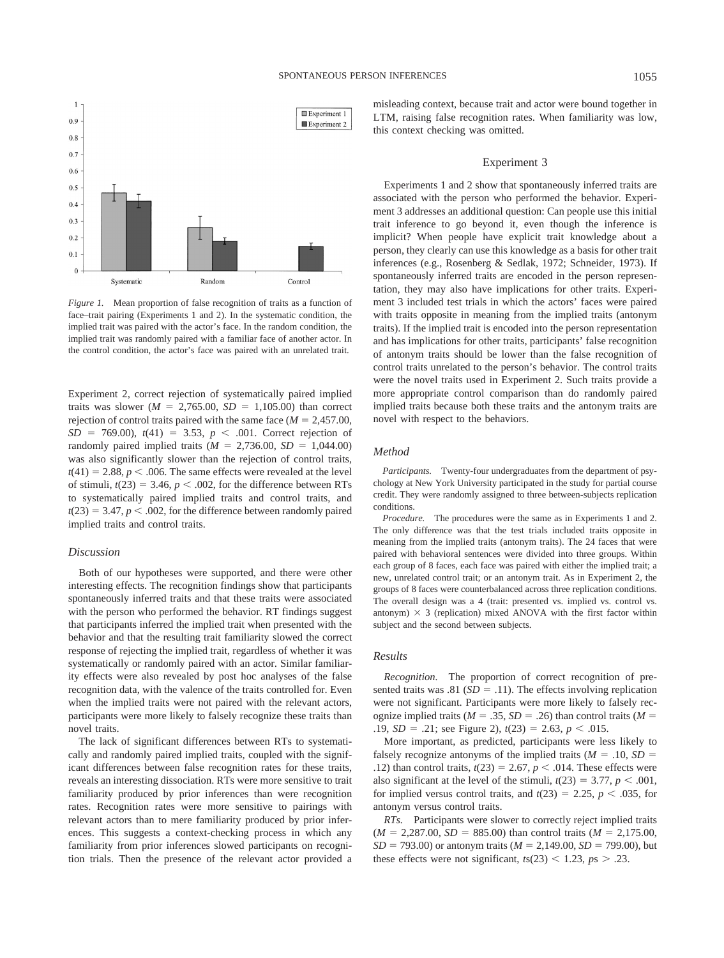

*Figure 1.* Mean proportion of false recognition of traits as a function of face–trait pairing (Experiments 1 and 2). In the systematic condition, the implied trait was paired with the actor's face. In the random condition, the implied trait was randomly paired with a familiar face of another actor. In the control condition, the actor's face was paired with an unrelated trait.

Experiment 2, correct rejection of systematically paired implied traits was slower  $(M = 2,765.00, SD = 1,105.00)$  than correct rejection of control traits paired with the same face  $(M = 2,457.00)$ ,  $SD = 769.00$ ,  $t(41) = 3.53$ ,  $p < .001$ . Correct rejection of randomly paired implied traits ( $M = 2,736.00, SD = 1,044.00$ ) was also significantly slower than the rejection of control traits,  $t(41) = 2.88, p < .006$ . The same effects were revealed at the level of stimuli,  $t(23) = 3.46$ ,  $p < .002$ , for the difference between RTs to systematically paired implied traits and control traits, and  $t(23) = 3.47, p < .002$ , for the difference between randomly paired implied traits and control traits.

#### *Discussion*

Both of our hypotheses were supported, and there were other interesting effects. The recognition findings show that participants spontaneously inferred traits and that these traits were associated with the person who performed the behavior. RT findings suggest that participants inferred the implied trait when presented with the behavior and that the resulting trait familiarity slowed the correct response of rejecting the implied trait, regardless of whether it was systematically or randomly paired with an actor. Similar familiarity effects were also revealed by post hoc analyses of the false recognition data, with the valence of the traits controlled for. Even when the implied traits were not paired with the relevant actors, participants were more likely to falsely recognize these traits than novel traits.

The lack of significant differences between RTs to systematically and randomly paired implied traits, coupled with the significant differences between false recognition rates for these traits, reveals an interesting dissociation. RTs were more sensitive to trait familiarity produced by prior inferences than were recognition rates. Recognition rates were more sensitive to pairings with relevant actors than to mere familiarity produced by prior inferences. This suggests a context-checking process in which any familiarity from prior inferences slowed participants on recognition trials. Then the presence of the relevant actor provided a misleading context, because trait and actor were bound together in LTM, raising false recognition rates. When familiarity was low, this context checking was omitted.

#### Experiment 3

Experiments 1 and 2 show that spontaneously inferred traits are associated with the person who performed the behavior. Experiment 3 addresses an additional question: Can people use this initial trait inference to go beyond it, even though the inference is implicit? When people have explicit trait knowledge about a person, they clearly can use this knowledge as a basis for other trait inferences (e.g., Rosenberg & Sedlak, 1972; Schneider, 1973). If spontaneously inferred traits are encoded in the person representation, they may also have implications for other traits. Experiment 3 included test trials in which the actors' faces were paired with traits opposite in meaning from the implied traits (antonym traits). If the implied trait is encoded into the person representation and has implications for other traits, participants' false recognition of antonym traits should be lower than the false recognition of control traits unrelated to the person's behavior. The control traits were the novel traits used in Experiment 2. Such traits provide a more appropriate control comparison than do randomly paired implied traits because both these traits and the antonym traits are novel with respect to the behaviors.

## *Method*

*Participants.* Twenty-four undergraduates from the department of psychology at New York University participated in the study for partial course credit. They were randomly assigned to three between-subjects replication conditions.

*Procedure.* The procedures were the same as in Experiments 1 and 2. The only difference was that the test trials included traits opposite in meaning from the implied traits (antonym traits). The 24 faces that were paired with behavioral sentences were divided into three groups. Within each group of 8 faces, each face was paired with either the implied trait; a new, unrelated control trait; or an antonym trait. As in Experiment 2, the groups of 8 faces were counterbalanced across three replication conditions. The overall design was a 4 (trait: presented vs. implied vs. control vs. antonym)  $\times$  3 (replication) mixed ANOVA with the first factor within subject and the second between subjects.

#### *Results*

*Recognition.* The proportion of correct recognition of presented traits was  $.81$  ( $SD = .11$ ). The effects involving replication were not significant. Participants were more likely to falsely recognize implied traits ( $M = .35$ ,  $SD = .26$ ) than control traits ( $M =$ .19,  $SD = .21$ ; see Figure 2),  $t(23) = 2.63$ ,  $p < .015$ .

More important, as predicted, participants were less likely to falsely recognize antonyms of the implied traits  $(M = .10, SD =$ .12) than control traits,  $t(23) = 2.67$ ,  $p < .014$ . These effects were also significant at the level of the stimuli,  $t(23) = 3.77$ ,  $p < .001$ , for implied versus control traits, and  $t(23) = 2.25$ ,  $p < .035$ , for antonym versus control traits.

*RTs.* Participants were slower to correctly reject implied traits  $(M = 2,287.00, SD = 885.00)$  than control traits  $(M = 2,175.00,$  $SD = 793.00$  or antonym traits ( $M = 2,149.00$ ,  $SD = 799.00$ ), but these effects were not significant,  $t s(23) < 1.23$ ,  $p s > .23$ .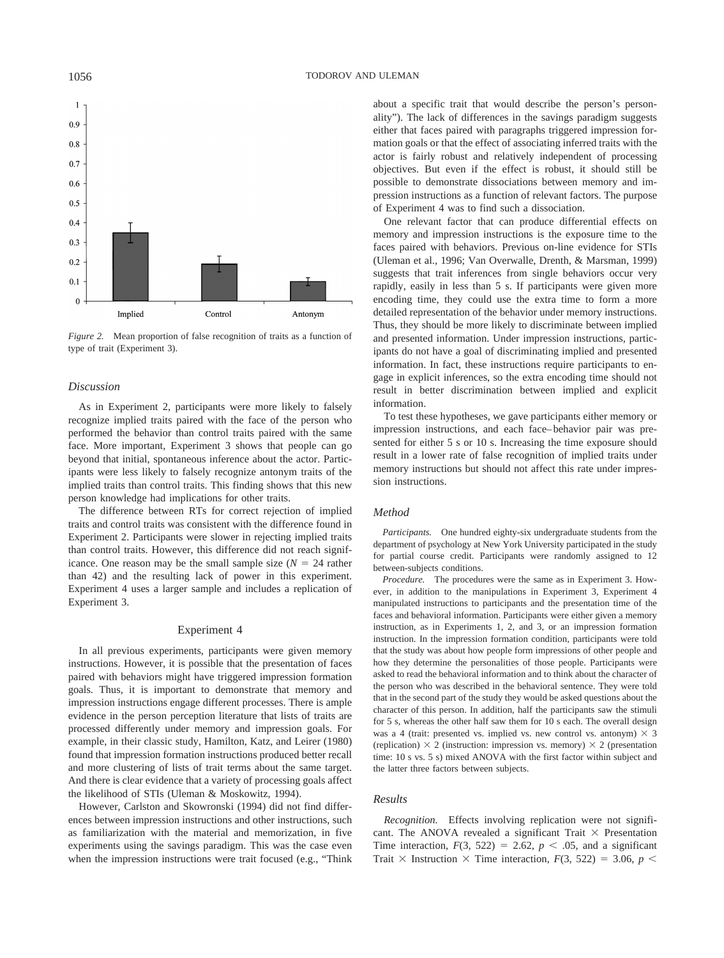

*Figure 2.* Mean proportion of false recognition of traits as a function of type of trait (Experiment 3).

#### *Discussion*

As in Experiment 2, participants were more likely to falsely recognize implied traits paired with the face of the person who performed the behavior than control traits paired with the same face. More important, Experiment 3 shows that people can go beyond that initial, spontaneous inference about the actor. Participants were less likely to falsely recognize antonym traits of the implied traits than control traits. This finding shows that this new person knowledge had implications for other traits.

The difference between RTs for correct rejection of implied traits and control traits was consistent with the difference found in Experiment 2. Participants were slower in rejecting implied traits than control traits. However, this difference did not reach significance. One reason may be the small sample size  $(N = 24$  rather than 42) and the resulting lack of power in this experiment. Experiment 4 uses a larger sample and includes a replication of Experiment 3.

#### Experiment 4

In all previous experiments, participants were given memory instructions. However, it is possible that the presentation of faces paired with behaviors might have triggered impression formation goals. Thus, it is important to demonstrate that memory and impression instructions engage different processes. There is ample evidence in the person perception literature that lists of traits are processed differently under memory and impression goals. For example, in their classic study, Hamilton, Katz, and Leirer (1980) found that impression formation instructions produced better recall and more clustering of lists of trait terms about the same target. And there is clear evidence that a variety of processing goals affect the likelihood of STIs (Uleman & Moskowitz, 1994).

However, Carlston and Skowronski (1994) did not find differences between impression instructions and other instructions, such as familiarization with the material and memorization, in five experiments using the savings paradigm. This was the case even when the impression instructions were trait focused (e.g., "Think

about a specific trait that would describe the person's personality"). The lack of differences in the savings paradigm suggests either that faces paired with paragraphs triggered impression formation goals or that the effect of associating inferred traits with the actor is fairly robust and relatively independent of processing objectives. But even if the effect is robust, it should still be possible to demonstrate dissociations between memory and impression instructions as a function of relevant factors. The purpose of Experiment 4 was to find such a dissociation.

One relevant factor that can produce differential effects on memory and impression instructions is the exposure time to the faces paired with behaviors. Previous on-line evidence for STIs (Uleman et al., 1996; Van Overwalle, Drenth, & Marsman, 1999) suggests that trait inferences from single behaviors occur very rapidly, easily in less than 5 s. If participants were given more encoding time, they could use the extra time to form a more detailed representation of the behavior under memory instructions. Thus, they should be more likely to discriminate between implied and presented information. Under impression instructions, participants do not have a goal of discriminating implied and presented information. In fact, these instructions require participants to engage in explicit inferences, so the extra encoding time should not result in better discrimination between implied and explicit information.

To test these hypotheses, we gave participants either memory or impression instructions, and each face–behavior pair was presented for either 5 s or 10 s. Increasing the time exposure should result in a lower rate of false recognition of implied traits under memory instructions but should not affect this rate under impression instructions.

#### *Method*

*Participants.* One hundred eighty-six undergraduate students from the department of psychology at New York University participated in the study for partial course credit. Participants were randomly assigned to 12 between-subjects conditions.

*Procedure.* The procedures were the same as in Experiment 3. However, in addition to the manipulations in Experiment 3, Experiment 4 manipulated instructions to participants and the presentation time of the faces and behavioral information. Participants were either given a memory instruction, as in Experiments 1, 2, and 3, or an impression formation instruction. In the impression formation condition, participants were told that the study was about how people form impressions of other people and how they determine the personalities of those people. Participants were asked to read the behavioral information and to think about the character of the person who was described in the behavioral sentence. They were told that in the second part of the study they would be asked questions about the character of this person. In addition, half the participants saw the stimuli for 5 s, whereas the other half saw them for 10 s each. The overall design was a 4 (trait: presented vs. implied vs. new control vs. antonym)  $\times$  3 (replication)  $\times$  2 (instruction: impression vs. memory)  $\times$  2 (presentation time: 10 s vs. 5 s) mixed ANOVA with the first factor within subject and the latter three factors between subjects.

#### *Results*

*Recognition.* Effects involving replication were not significant. The ANOVA revealed a significant Trait  $\times$  Presentation Time interaction,  $F(3, 522) = 2.62$ ,  $p < .05$ , and a significant Trait  $\times$  Instruction  $\times$  Time interaction, *F*(3, 522) = 3.06, *p* <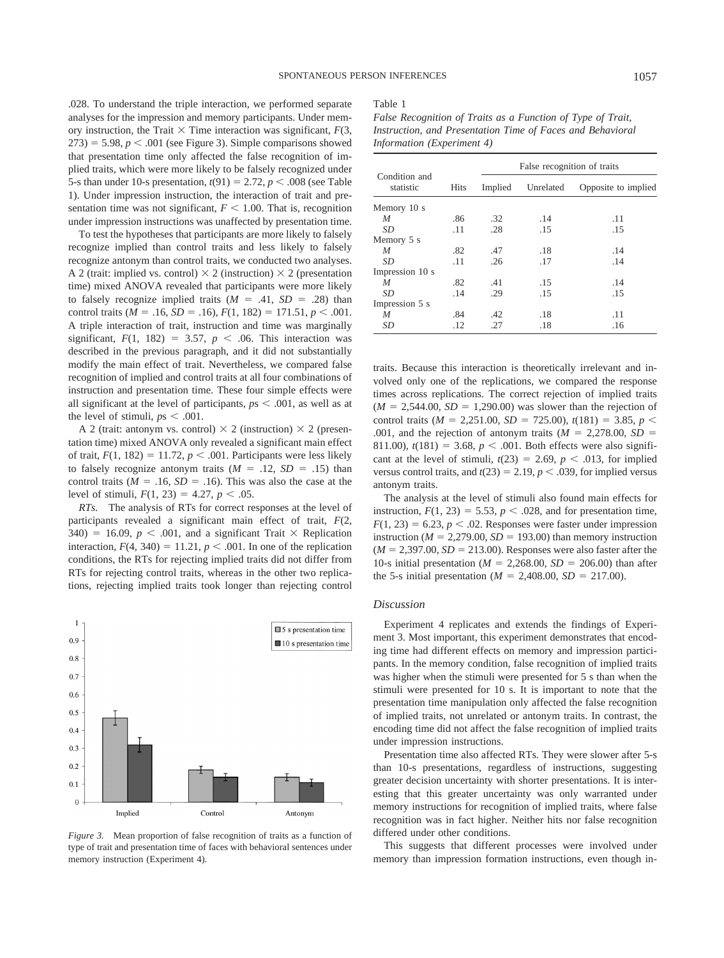.028. To understand the triple interaction, we performed separate analyses for the impression and memory participants. Under memory instruction, the Trait  $\times$  Time interaction was significant,  $F(3, \mathcal{F}(3))$  $273$ ) = 5.98,  $p < .001$  (see Figure 3). Simple comparisons showed that presentation time only affected the false recognition of implied traits, which were more likely to be falsely recognized under 5-s than under 10-s presentation,  $t(91) = 2.72$ ,  $p < .008$  (see Table 1). Under impression instruction, the interaction of trait and presentation time was not significant,  $F < 1.00$ . That is, recognition under impression instructions was unaffected by presentation time.

To test the hypotheses that participants are more likely to falsely recognize implied than control traits and less likely to falsely recognize antonym than control traits, we conducted two analyses. A 2 (trait: implied vs. control)  $\times$  2 (instruction)  $\times$  2 (presentation time) mixed ANOVA revealed that participants were more likely to falsely recognize implied traits  $(M = .41, SD = .28)$  than control traits ( $M = .16$ ,  $SD = .16$ ),  $F(1, 182) = 171.51$ ,  $p < .001$ . A triple interaction of trait, instruction and time was marginally significant,  $F(1, 182) = 3.57$ ,  $p < .06$ . This interaction was described in the previous paragraph, and it did not substantially modify the main effect of trait. Nevertheless, we compared false recognition of implied and control traits at all four combinations of instruction and presentation time. These four simple effects were all significant at the level of participants,  $ps < .001$ , as well as at the level of stimuli,  $ps < .001$ .

A 2 (trait: antonym vs. control)  $\times$  2 (instruction)  $\times$  2 (presentation time) mixed ANOVA only revealed a significant main effect of trait,  $F(1, 182) = 11.72$ ,  $p < .001$ . Participants were less likely to falsely recognize antonym traits  $(M = .12, SD = .15)$  than control traits ( $M = .16$ ,  $SD = .16$ ). This was also the case at the level of stimuli,  $F(1, 23) = 4.27$ ,  $p < .05$ .

*RTs.* The analysis of RTs for correct responses at the level of participants revealed a significant main effect of trait, *F*(2,  $340$ ) = 16.09,  $p < .001$ , and a significant Trait  $\times$  Replication interaction,  $F(4, 340) = 11.21$ ,  $p < .001$ . In one of the replication conditions, the RTs for rejecting implied traits did not differ from RTs for rejecting control traits, whereas in the other two replications, rejecting implied traits took longer than rejecting control



*Figure 3.* Mean proportion of false recognition of traits as a function of type of trait and presentation time of faces with behavioral sentences under memory instruction (Experiment 4).

*False Recognition of Traits as a Function of Type of Trait, Instruction, and Presentation Time of Faces and Behavioral Information (Experiment 4)*

|                            |             | False recognition of traits |           |                     |  |
|----------------------------|-------------|-----------------------------|-----------|---------------------|--|
| Condition and<br>statistic | <b>Hits</b> | Implied                     | Unrelated | Opposite to implied |  |
| Memory 10 s                |             |                             |           |                     |  |
| M                          | .86         | .32                         | .14       | .11                 |  |
| SD                         | .11         | .28                         | .15       | .15                 |  |
| Memory 5 s                 |             |                             |           |                     |  |
| M                          | .82         | .47                         | .18       | .14                 |  |
| SD                         | .11         | .26                         | .17       | .14                 |  |
| Impression 10 s            |             |                             |           |                     |  |
| M                          | .82         | .41                         | .15       | .14                 |  |
| SD                         | .14         | .29                         | .15       | .15                 |  |
| Impression 5 s             |             |                             |           |                     |  |
| M                          | .84         | .42                         | .18       | .11                 |  |
| SD                         | .12         | .27                         | .18       | .16                 |  |

traits. Because this interaction is theoretically irrelevant and involved only one of the replications, we compared the response times across replications. The correct rejection of implied traits  $(M = 2,544.00, SD = 1,290.00)$  was slower than the rejection of control traits ( $M = 2,251.00$ ,  $SD = 725.00$ ),  $t(181) = 3.85$ ,  $p <$ .001, and the rejection of antonym traits ( $M = 2,278.00, SD =$ 811.00),  $t(181) = 3.68$ ,  $p < .001$ . Both effects were also significant at the level of stimuli,  $t(23) = 2.69$ ,  $p < .013$ , for implied versus control traits, and  $t(23) = 2.19$ ,  $p < .039$ , for implied versus antonym traits.

The analysis at the level of stimuli also found main effects for instruction,  $F(1, 23) = 5.53$ ,  $p < .028$ , and for presentation time,  $F(1, 23) = 6.23, p < .02$ . Responses were faster under impression instruction ( $M = 2,279.00$ ,  $SD = 193.00$ ) than memory instruction  $(M = 2,397.00, SD = 213.00)$ . Responses were also faster after the 10-s initial presentation ( $M = 2,268.00, SD = 206.00$ ) than after the 5-s initial presentation ( $M = 2,408.00, SD = 217.00$ ).

#### *Discussion*

Experiment 4 replicates and extends the findings of Experiment 3. Most important, this experiment demonstrates that encoding time had different effects on memory and impression participants. In the memory condition, false recognition of implied traits was higher when the stimuli were presented for 5 s than when the stimuli were presented for 10 s. It is important to note that the presentation time manipulation only affected the false recognition of implied traits, not unrelated or antonym traits. In contrast, the encoding time did not affect the false recognition of implied traits under impression instructions.

Presentation time also affected RTs. They were slower after 5-s than 10-s presentations, regardless of instructions, suggesting greater decision uncertainty with shorter presentations. It is interesting that this greater uncertainty was only warranted under memory instructions for recognition of implied traits, where false recognition was in fact higher. Neither hits nor false recognition differed under other conditions.

This suggests that different processes were involved under memory than impression formation instructions, even though in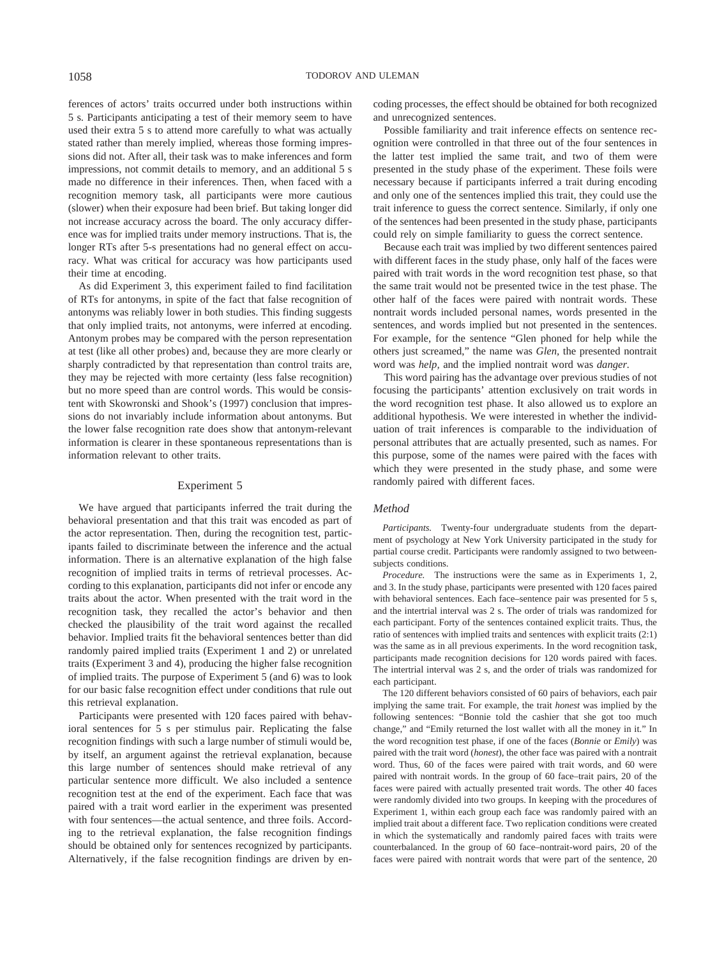ferences of actors' traits occurred under both instructions within 5 s. Participants anticipating a test of their memory seem to have used their extra 5 s to attend more carefully to what was actually stated rather than merely implied, whereas those forming impressions did not. After all, their task was to make inferences and form impressions, not commit details to memory, and an additional 5 s made no difference in their inferences. Then, when faced with a recognition memory task, all participants were more cautious (slower) when their exposure had been brief. But taking longer did not increase accuracy across the board. The only accuracy difference was for implied traits under memory instructions. That is, the longer RTs after 5-s presentations had no general effect on accuracy. What was critical for accuracy was how participants used their time at encoding.

As did Experiment 3, this experiment failed to find facilitation of RTs for antonyms, in spite of the fact that false recognition of antonyms was reliably lower in both studies. This finding suggests that only implied traits, not antonyms, were inferred at encoding. Antonym probes may be compared with the person representation at test (like all other probes) and, because they are more clearly or sharply contradicted by that representation than control traits are, they may be rejected with more certainty (less false recognition) but no more speed than are control words. This would be consistent with Skowronski and Shook's (1997) conclusion that impressions do not invariably include information about antonyms. But the lower false recognition rate does show that antonym-relevant information is clearer in these spontaneous representations than is information relevant to other traits.

## Experiment 5

We have argued that participants inferred the trait during the behavioral presentation and that this trait was encoded as part of the actor representation. Then, during the recognition test, participants failed to discriminate between the inference and the actual information. There is an alternative explanation of the high false recognition of implied traits in terms of retrieval processes. According to this explanation, participants did not infer or encode any traits about the actor. When presented with the trait word in the recognition task, they recalled the actor's behavior and then checked the plausibility of the trait word against the recalled behavior. Implied traits fit the behavioral sentences better than did randomly paired implied traits (Experiment 1 and 2) or unrelated traits (Experiment 3 and 4), producing the higher false recognition of implied traits. The purpose of Experiment 5 (and 6) was to look for our basic false recognition effect under conditions that rule out this retrieval explanation.

Participants were presented with 120 faces paired with behavioral sentences for 5 s per stimulus pair. Replicating the false recognition findings with such a large number of stimuli would be, by itself, an argument against the retrieval explanation, because this large number of sentences should make retrieval of any particular sentence more difficult. We also included a sentence recognition test at the end of the experiment. Each face that was paired with a trait word earlier in the experiment was presented with four sentences—the actual sentence, and three foils. According to the retrieval explanation, the false recognition findings should be obtained only for sentences recognized by participants. Alternatively, if the false recognition findings are driven by encoding processes, the effect should be obtained for both recognized and unrecognized sentences.

Possible familiarity and trait inference effects on sentence recognition were controlled in that three out of the four sentences in the latter test implied the same trait, and two of them were presented in the study phase of the experiment. These foils were necessary because if participants inferred a trait during encoding and only one of the sentences implied this trait, they could use the trait inference to guess the correct sentence. Similarly, if only one of the sentences had been presented in the study phase, participants could rely on simple familiarity to guess the correct sentence.

Because each trait was implied by two different sentences paired with different faces in the study phase, only half of the faces were paired with trait words in the word recognition test phase, so that the same trait would not be presented twice in the test phase. The other half of the faces were paired with nontrait words. These nontrait words included personal names, words presented in the sentences, and words implied but not presented in the sentences. For example, for the sentence "Glen phoned for help while the others just screamed," the name was *Glen,* the presented nontrait word was *help,* and the implied nontrait word was *danger.*

This word pairing has the advantage over previous studies of not focusing the participants' attention exclusively on trait words in the word recognition test phase. It also allowed us to explore an additional hypothesis. We were interested in whether the individuation of trait inferences is comparable to the individuation of personal attributes that are actually presented, such as names. For this purpose, some of the names were paired with the faces with which they were presented in the study phase, and some were randomly paired with different faces.

## *Method*

*Participants.* Twenty-four undergraduate students from the department of psychology at New York University participated in the study for partial course credit. Participants were randomly assigned to two betweensubjects conditions.

*Procedure.* The instructions were the same as in Experiments 1, 2, and 3. In the study phase, participants were presented with 120 faces paired with behavioral sentences. Each face–sentence pair was presented for 5 s, and the intertrial interval was 2 s. The order of trials was randomized for each participant. Forty of the sentences contained explicit traits. Thus, the ratio of sentences with implied traits and sentences with explicit traits (2:1) was the same as in all previous experiments. In the word recognition task, participants made recognition decisions for 120 words paired with faces. The intertrial interval was 2 s, and the order of trials was randomized for each participant.

The 120 different behaviors consisted of 60 pairs of behaviors, each pair implying the same trait. For example, the trait *honest* was implied by the following sentences: "Bonnie told the cashier that she got too much change," and "Emily returned the lost wallet with all the money in it." In the word recognition test phase, if one of the faces (*Bonnie* or *Emily*) was paired with the trait word (*honest*), the other face was paired with a nontrait word. Thus, 60 of the faces were paired with trait words, and 60 were paired with nontrait words. In the group of 60 face–trait pairs, 20 of the faces were paired with actually presented trait words. The other 40 faces were randomly divided into two groups. In keeping with the procedures of Experiment 1, within each group each face was randomly paired with an implied trait about a different face. Two replication conditions were created in which the systematically and randomly paired faces with traits were counterbalanced. In the group of 60 face–nontrait-word pairs, 20 of the faces were paired with nontrait words that were part of the sentence, 20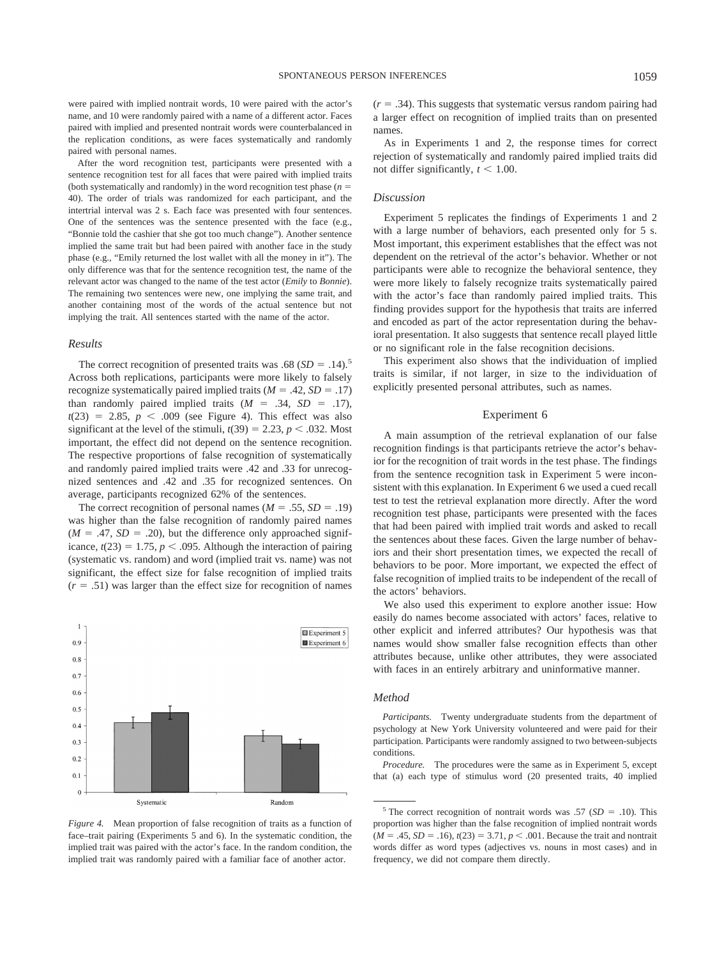were paired with implied nontrait words, 10 were paired with the actor's name, and 10 were randomly paired with a name of a different actor. Faces paired with implied and presented nontrait words were counterbalanced in the replication conditions, as were faces systematically and randomly paired with personal names.

After the word recognition test, participants were presented with a sentence recognition test for all faces that were paired with implied traits (both systematically and randomly) in the word recognition test phase (*n* 40). The order of trials was randomized for each participant, and the intertrial interval was 2 s. Each face was presented with four sentences. One of the sentences was the sentence presented with the face (e.g., "Bonnie told the cashier that she got too much change"). Another sentence implied the same trait but had been paired with another face in the study phase (e.g., "Emily returned the lost wallet with all the money in it"). The only difference was that for the sentence recognition test, the name of the relevant actor was changed to the name of the test actor (*Emily* to *Bonnie*). The remaining two sentences were new, one implying the same trait, and another containing most of the words of the actual sentence but not implying the trait. All sentences started with the name of the actor.

#### *Results*

The correct recognition of presented traits was .68  $(SD = .14)$ .<sup>5</sup> Across both replications, participants were more likely to falsely recognize systematically paired implied traits  $(M = .42, SD = .17)$ than randomly paired implied traits  $(M = .34, SD = .17)$ ,  $t(23) = 2.85$ ,  $p < .009$  (see Figure 4). This effect was also significant at the level of the stimuli,  $t(39) = 2.23$ ,  $p < .032$ . Most important, the effect did not depend on the sentence recognition. The respective proportions of false recognition of systematically and randomly paired implied traits were .42 and .33 for unrecognized sentences and .42 and .35 for recognized sentences. On average, participants recognized 62% of the sentences.

The correct recognition of personal names ( $M = .55$ ,  $SD = .19$ ) was higher than the false recognition of randomly paired names  $(M = .47, SD = .20)$ , but the difference only approached significance,  $t(23) = 1.75$ ,  $p < .095$ . Although the interaction of pairing (systematic vs. random) and word (implied trait vs. name) was not significant, the effect size for false recognition of implied traits  $(r = .51)$  was larger than the effect size for recognition of names



*Figure 4.* Mean proportion of false recognition of traits as a function of face–trait pairing (Experiments 5 and 6). In the systematic condition, the implied trait was paired with the actor's face. In the random condition, the implied trait was randomly paired with a familiar face of another actor.

 $(r = .34)$ . This suggests that systematic versus random pairing had a larger effect on recognition of implied traits than on presented names.

As in Experiments 1 and 2, the response times for correct rejection of systematically and randomly paired implied traits did not differ significantly,  $t < 1.00$ .

## *Discussion*

Experiment 5 replicates the findings of Experiments 1 and 2 with a large number of behaviors, each presented only for 5 s. Most important, this experiment establishes that the effect was not dependent on the retrieval of the actor's behavior. Whether or not participants were able to recognize the behavioral sentence, they were more likely to falsely recognize traits systematically paired with the actor's face than randomly paired implied traits. This finding provides support for the hypothesis that traits are inferred and encoded as part of the actor representation during the behavioral presentation. It also suggests that sentence recall played little or no significant role in the false recognition decisions.

This experiment also shows that the individuation of implied traits is similar, if not larger, in size to the individuation of explicitly presented personal attributes, such as names.

## Experiment 6

A main assumption of the retrieval explanation of our false recognition findings is that participants retrieve the actor's behavior for the recognition of trait words in the test phase. The findings from the sentence recognition task in Experiment 5 were inconsistent with this explanation. In Experiment 6 we used a cued recall test to test the retrieval explanation more directly. After the word recognition test phase, participants were presented with the faces that had been paired with implied trait words and asked to recall the sentences about these faces. Given the large number of behaviors and their short presentation times, we expected the recall of behaviors to be poor. More important, we expected the effect of false recognition of implied traits to be independent of the recall of the actors' behaviors.

We also used this experiment to explore another issue: How easily do names become associated with actors' faces, relative to other explicit and inferred attributes? Our hypothesis was that names would show smaller false recognition effects than other attributes because, unlike other attributes, they were associated with faces in an entirely arbitrary and uninformative manner.

#### *Method*

*Participants.* Twenty undergraduate students from the department of psychology at New York University volunteered and were paid for their participation. Participants were randomly assigned to two between-subjects conditions.

*Procedure.* The procedures were the same as in Experiment 5, except that (a) each type of stimulus word (20 presented traits, 40 implied

<sup>&</sup>lt;sup>5</sup> The correct recognition of nontrait words was .57 ( $SD = .10$ ). This proportion was higher than the false recognition of implied nontrait words  $(M = .45, SD = .16)$ ,  $t(23) = 3.71, p < .001$ . Because the trait and nontrait words differ as word types (adjectives vs. nouns in most cases) and in frequency, we did not compare them directly.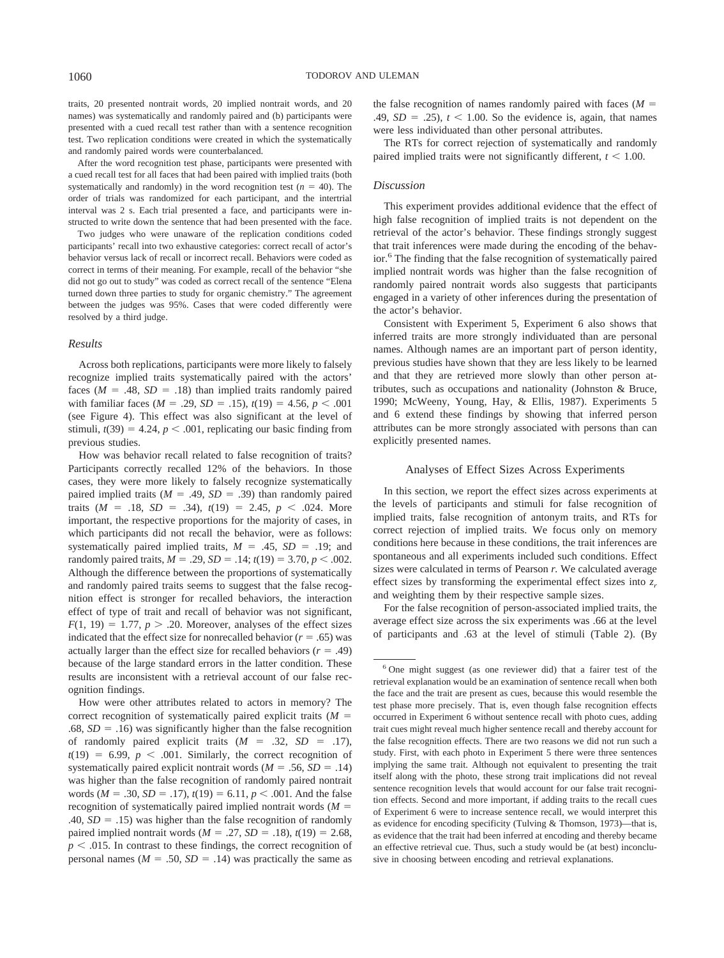traits, 20 presented nontrait words, 20 implied nontrait words, and 20 names) was systematically and randomly paired and (b) participants were presented with a cued recall test rather than with a sentence recognition test. Two replication conditions were created in which the systematically and randomly paired words were counterbalanced.

After the word recognition test phase, participants were presented with a cued recall test for all faces that had been paired with implied traits (both systematically and randomly) in the word recognition test ( $n = 40$ ). The order of trials was randomized for each participant, and the intertrial interval was 2 s. Each trial presented a face, and participants were instructed to write down the sentence that had been presented with the face.

Two judges who were unaware of the replication conditions coded participants' recall into two exhaustive categories: correct recall of actor's behavior versus lack of recall or incorrect recall. Behaviors were coded as correct in terms of their meaning. For example, recall of the behavior "she did not go out to study" was coded as correct recall of the sentence "Elena turned down three parties to study for organic chemistry." The agreement between the judges was 95%. Cases that were coded differently were resolved by a third judge.

#### *Results*

Across both replications, participants were more likely to falsely recognize implied traits systematically paired with the actors' faces  $(M = .48, SD = .18)$  than implied traits randomly paired with familiar faces ( $M = .29$ ,  $SD = .15$ ),  $t(19) = 4.56$ ,  $p < .001$ (see Figure 4). This effect was also significant at the level of stimuli,  $t(39) = 4.24$ ,  $p < .001$ , replicating our basic finding from previous studies.

How was behavior recall related to false recognition of traits? Participants correctly recalled 12% of the behaviors. In those cases, they were more likely to falsely recognize systematically paired implied traits  $(M = .49, SD = .39)$  than randomly paired traits  $(M = .18, SD = .34)$ ,  $t(19) = 2.45, p < .024$ . More important, the respective proportions for the majority of cases, in which participants did not recall the behavior, were as follows: systematically paired implied traits,  $M = .45$ ,  $SD = .19$ ; and randomly paired traits,  $M = .29$ ,  $SD = .14$ ;  $t(19) = 3.70$ ,  $p < .002$ . Although the difference between the proportions of systematically and randomly paired traits seems to suggest that the false recognition effect is stronger for recalled behaviors, the interaction effect of type of trait and recall of behavior was not significant,  $F(1, 19) = 1.77$ ,  $p > .20$ . Moreover, analyses of the effect sizes indicated that the effect size for nonrecalled behavior ( $r = .65$ ) was actually larger than the effect size for recalled behaviors  $(r = .49)$ because of the large standard errors in the latter condition. These results are inconsistent with a retrieval account of our false recognition findings.

How were other attributes related to actors in memory? The correct recognition of systematically paired explicit traits (*M* .68,  $SD = .16$ ) was significantly higher than the false recognition of randomly paired explicit traits  $(M = .32, SD = .17)$ ,  $t(19) = 6.99$ ,  $p < .001$ . Similarly, the correct recognition of systematically paired explicit nontrait words  $(M = .56, SD = .14)$ was higher than the false recognition of randomly paired nontrait words ( $M = .30$ ,  $SD = .17$ ),  $t(19) = 6.11$ ,  $p < .001$ . And the false recognition of systematically paired implied nontrait words (*M* .40,  $SD = .15$ ) was higher than the false recognition of randomly paired implied nontrait words  $(M = .27, SD = .18)$ ,  $t(19) = 2.68$ ,  $p \leq 0.015$ . In contrast to these findings, the correct recognition of personal names ( $M = .50$ ,  $SD = .14$ ) was practically the same as the false recognition of names randomly paired with faces  $(M =$  $.49, SD = .25$ ,  $t < 1.00$ . So the evidence is, again, that names were less individuated than other personal attributes.

The RTs for correct rejection of systematically and randomly paired implied traits were not significantly different,  $t < 1.00$ .

#### *Discussion*

This experiment provides additional evidence that the effect of high false recognition of implied traits is not dependent on the retrieval of the actor's behavior. These findings strongly suggest that trait inferences were made during the encoding of the behavior.6 The finding that the false recognition of systematically paired implied nontrait words was higher than the false recognition of randomly paired nontrait words also suggests that participants engaged in a variety of other inferences during the presentation of the actor's behavior.

Consistent with Experiment 5, Experiment 6 also shows that inferred traits are more strongly individuated than are personal names. Although names are an important part of person identity, previous studies have shown that they are less likely to be learned and that they are retrieved more slowly than other person attributes, such as occupations and nationality (Johnston & Bruce, 1990; McWeeny, Young, Hay, & Ellis, 1987). Experiments 5 and 6 extend these findings by showing that inferred person attributes can be more strongly associated with persons than can explicitly presented names.

## Analyses of Effect Sizes Across Experiments

In this section, we report the effect sizes across experiments at the levels of participants and stimuli for false recognition of implied traits, false recognition of antonym traits, and RTs for correct rejection of implied traits. We focus only on memory conditions here because in these conditions, the trait inferences are spontaneous and all experiments included such conditions. Effect sizes were calculated in terms of Pearson *r.* We calculated average effect sizes by transforming the experimental effect sizes into  $z_r$ and weighting them by their respective sample sizes.

For the false recognition of person-associated implied traits, the average effect size across the six experiments was .66 at the level of participants and .63 at the level of stimuli (Table 2). (By

<sup>6</sup> One might suggest (as one reviewer did) that a fairer test of the retrieval explanation would be an examination of sentence recall when both the face and the trait are present as cues, because this would resemble the test phase more precisely. That is, even though false recognition effects occurred in Experiment 6 without sentence recall with photo cues, adding trait cues might reveal much higher sentence recall and thereby account for the false recognition effects. There are two reasons we did not run such a study. First, with each photo in Experiment 5 there were three sentences implying the same trait. Although not equivalent to presenting the trait itself along with the photo, these strong trait implications did not reveal sentence recognition levels that would account for our false trait recognition effects. Second and more important, if adding traits to the recall cues of Experiment 6 were to increase sentence recall, we would interpret this as evidence for encoding specificity (Tulving & Thomson, 1973)—that is, as evidence that the trait had been inferred at encoding and thereby became an effective retrieval cue. Thus, such a study would be (at best) inconclusive in choosing between encoding and retrieval explanations.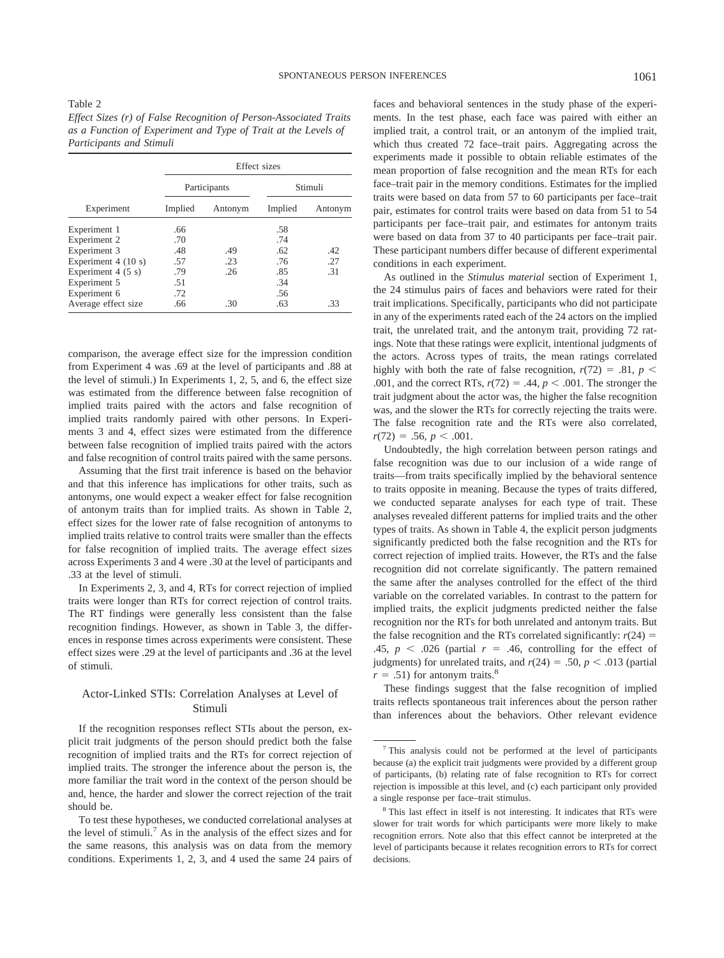#### Table 2

*Effect Sizes (r) of False Recognition of Person-Associated Traits as a Function of Experiment and Type of Trait at the Levels of Participants and Stimuli*

|                      | Effect sizes |              |         |         |  |
|----------------------|--------------|--------------|---------|---------|--|
| Experiment           |              | Participants | Stimuli |         |  |
|                      | Implied      | Antonym      | Implied | Antonym |  |
| Experiment 1         | .66          |              | .58     |         |  |
| Experiment 2         | .70          |              | .74     |         |  |
| Experiment 3         | .48          | .49          | .62     | .42     |  |
| Experiment $4(10 s)$ | .57          | .23          | .76     | .27     |  |
| Experiment $4(5s)$   | .79          | .26          | .85     | .31     |  |
| Experiment 5         | .51          |              | .34     |         |  |
| Experiment 6         | .72          |              | .56     |         |  |
| Average effect size  | .66          | .30          | .63     | .33     |  |

comparison, the average effect size for the impression condition from Experiment 4 was .69 at the level of participants and .88 at the level of stimuli.) In Experiments 1, 2, 5, and 6, the effect size was estimated from the difference between false recognition of implied traits paired with the actors and false recognition of implied traits randomly paired with other persons. In Experiments 3 and 4, effect sizes were estimated from the difference between false recognition of implied traits paired with the actors and false recognition of control traits paired with the same persons.

Assuming that the first trait inference is based on the behavior and that this inference has implications for other traits, such as antonyms, one would expect a weaker effect for false recognition of antonym traits than for implied traits. As shown in Table 2, effect sizes for the lower rate of false recognition of antonyms to implied traits relative to control traits were smaller than the effects for false recognition of implied traits. The average effect sizes across Experiments 3 and 4 were .30 at the level of participants and .33 at the level of stimuli.

In Experiments 2, 3, and 4, RTs for correct rejection of implied traits were longer than RTs for correct rejection of control traits. The RT findings were generally less consistent than the false recognition findings. However, as shown in Table 3, the differences in response times across experiments were consistent. These effect sizes were .29 at the level of participants and .36 at the level of stimuli.

## Actor-Linked STIs: Correlation Analyses at Level of Stimuli

If the recognition responses reflect STIs about the person, explicit trait judgments of the person should predict both the false recognition of implied traits and the RTs for correct rejection of implied traits. The stronger the inference about the person is, the more familiar the trait word in the context of the person should be and, hence, the harder and slower the correct rejection of the trait should be.

To test these hypotheses, we conducted correlational analyses at the level of stimuli.<sup>7</sup> As in the analysis of the effect sizes and for the same reasons, this analysis was on data from the memory conditions. Experiments 1, 2, 3, and 4 used the same 24 pairs of faces and behavioral sentences in the study phase of the experiments. In the test phase, each face was paired with either an implied trait, a control trait, or an antonym of the implied trait, which thus created 72 face–trait pairs. Aggregating across the experiments made it possible to obtain reliable estimates of the mean proportion of false recognition and the mean RTs for each face–trait pair in the memory conditions. Estimates for the implied traits were based on data from 57 to 60 participants per face–trait pair, estimates for control traits were based on data from 51 to 54 participants per face–trait pair, and estimates for antonym traits were based on data from 37 to 40 participants per face–trait pair. These participant numbers differ because of different experimental conditions in each experiment.

As outlined in the *Stimulus material* section of Experiment 1, the 24 stimulus pairs of faces and behaviors were rated for their trait implications. Specifically, participants who did not participate in any of the experiments rated each of the 24 actors on the implied trait, the unrelated trait, and the antonym trait, providing 72 ratings. Note that these ratings were explicit, intentional judgments of the actors. Across types of traits, the mean ratings correlated highly with both the rate of false recognition,  $r(72) = .81$ ,  $p <$ .001, and the correct RTs,  $r(72) = .44$ ,  $p < .001$ . The stronger the trait judgment about the actor was, the higher the false recognition was, and the slower the RTs for correctly rejecting the traits were. The false recognition rate and the RTs were also correlated,  $r(72) = .56, p < .001.$ 

Undoubtedly, the high correlation between person ratings and false recognition was due to our inclusion of a wide range of traits—from traits specifically implied by the behavioral sentence to traits opposite in meaning. Because the types of traits differed, we conducted separate analyses for each type of trait. These analyses revealed different patterns for implied traits and the other types of traits. As shown in Table 4, the explicit person judgments significantly predicted both the false recognition and the RTs for correct rejection of implied traits. However, the RTs and the false recognition did not correlate significantly. The pattern remained the same after the analyses controlled for the effect of the third variable on the correlated variables. In contrast to the pattern for implied traits, the explicit judgments predicted neither the false recognition nor the RTs for both unrelated and antonym traits. But the false recognition and the RTs correlated significantly:  $r(24)$  = .45,  $p \leq 0.026$  (partial  $r = .46$ , controlling for the effect of judgments) for unrelated traits, and  $r(24) = .50$ ,  $p < .013$  (partial  $r = .51$ ) for antonym traits.<sup>8</sup>

These findings suggest that the false recognition of implied traits reflects spontaneous trait inferences about the person rather than inferences about the behaviors. Other relevant evidence

<sup>7</sup> This analysis could not be performed at the level of participants because (a) the explicit trait judgments were provided by a different group of participants, (b) relating rate of false recognition to RTs for correct rejection is impossible at this level, and (c) each participant only provided a single response per face–trait stimulus.

<sup>8</sup> This last effect in itself is not interesting. It indicates that RTs were slower for trait words for which participants were more likely to make recognition errors. Note also that this effect cannot be interpreted at the level of participants because it relates recognition errors to RTs for correct decisions.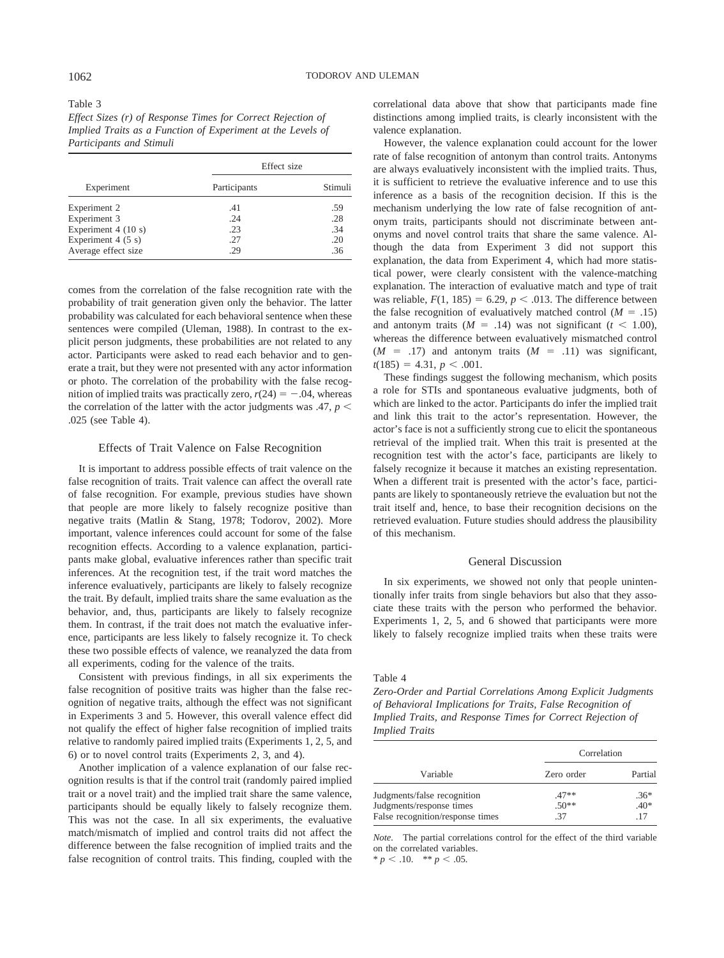#### Table 3

*Effect Sizes (r) of Response Times for Correct Rejection of Implied Traits as a Function of Experiment at the Levels of Participants and Stimuli*

|                      | Effect size  |         |  |
|----------------------|--------------|---------|--|
| Experiment           | Participants | Stimuli |  |
| Experiment 2         | .41          | .59     |  |
| Experiment 3         | .24          | .28     |  |
| Experiment $4(10 s)$ | .23          | .34     |  |
| Experiment $4(5s)$   | -27          | .20     |  |
| Average effect size  | -29          | .36     |  |

comes from the correlation of the false recognition rate with the probability of trait generation given only the behavior. The latter probability was calculated for each behavioral sentence when these sentences were compiled (Uleman, 1988). In contrast to the explicit person judgments, these probabilities are not related to any actor. Participants were asked to read each behavior and to generate a trait, but they were not presented with any actor information or photo. The correlation of the probability with the false recognition of implied traits was practically zero,  $r(24) = -.04$ , whereas the correlation of the latter with the actor judgments was  $.47, p <$ .025 (see Table 4).

#### Effects of Trait Valence on False Recognition

It is important to address possible effects of trait valence on the false recognition of traits. Trait valence can affect the overall rate of false recognition. For example, previous studies have shown that people are more likely to falsely recognize positive than negative traits (Matlin & Stang, 1978; Todorov, 2002). More important, valence inferences could account for some of the false recognition effects. According to a valence explanation, participants make global, evaluative inferences rather than specific trait inferences. At the recognition test, if the trait word matches the inference evaluatively, participants are likely to falsely recognize the trait. By default, implied traits share the same evaluation as the behavior, and, thus, participants are likely to falsely recognize them. In contrast, if the trait does not match the evaluative inference, participants are less likely to falsely recognize it. To check these two possible effects of valence, we reanalyzed the data from all experiments, coding for the valence of the traits.

Consistent with previous findings, in all six experiments the false recognition of positive traits was higher than the false recognition of negative traits, although the effect was not significant in Experiments 3 and 5. However, this overall valence effect did not qualify the effect of higher false recognition of implied traits relative to randomly paired implied traits (Experiments 1, 2, 5, and 6) or to novel control traits (Experiments 2, 3, and 4).

Another implication of a valence explanation of our false recognition results is that if the control trait (randomly paired implied trait or a novel trait) and the implied trait share the same valence, participants should be equally likely to falsely recognize them. This was not the case. In all six experiments, the evaluative match/mismatch of implied and control traits did not affect the difference between the false recognition of implied traits and the false recognition of control traits. This finding, coupled with the correlational data above that show that participants made fine distinctions among implied traits, is clearly inconsistent with the valence explanation.

However, the valence explanation could account for the lower rate of false recognition of antonym than control traits. Antonyms are always evaluatively inconsistent with the implied traits. Thus, it is sufficient to retrieve the evaluative inference and to use this inference as a basis of the recognition decision. If this is the mechanism underlying the low rate of false recognition of antonym traits, participants should not discriminate between antonyms and novel control traits that share the same valence. Although the data from Experiment 3 did not support this explanation, the data from Experiment 4, which had more statistical power, were clearly consistent with the valence-matching explanation. The interaction of evaluative match and type of trait was reliable,  $F(1, 185) = 6.29$ ,  $p < .013$ . The difference between the false recognition of evaluatively matched control  $(M = .15)$ and antonym traits  $(M = .14)$  was not significant  $(t < 1.00)$ , whereas the difference between evaluatively mismatched control  $(M = .17)$  and antonym traits  $(M = .11)$  was significant,  $t(185) = 4.31, p < .001.$ 

These findings suggest the following mechanism, which posits a role for STIs and spontaneous evaluative judgments, both of which are linked to the actor. Participants do infer the implied trait and link this trait to the actor's representation. However, the actor's face is not a sufficiently strong cue to elicit the spontaneous retrieval of the implied trait. When this trait is presented at the recognition test with the actor's face, participants are likely to falsely recognize it because it matches an existing representation. When a different trait is presented with the actor's face, participants are likely to spontaneously retrieve the evaluation but not the trait itself and, hence, to base their recognition decisions on the retrieved evaluation. Future studies should address the plausibility of this mechanism.

#### General Discussion

In six experiments, we showed not only that people unintentionally infer traits from single behaviors but also that they associate these traits with the person who performed the behavior. Experiments 1, 2, 5, and 6 showed that participants were more likely to falsely recognize implied traits when these traits were

#### Table 4

*Zero-Order and Partial Correlations Among Explicit Judgments of Behavioral Implications for Traits, False Recognition of Implied Traits, and Response Times for Correct Rejection of Implied Traits*

|                                  | Correlation |         |  |
|----------------------------------|-------------|---------|--|
| Variable                         | Zero order  | Partial |  |
| Judgments/false recognition      | $.47**$     | $.36*$  |  |
| Judgments/response times         | $.50**$     | $.40*$  |  |
| False recognition/response times | -37         | .17     |  |

*Note.* The partial correlations control for the effect of the third variable on the correlated variables.

 $* p < .10.$  \*\*  $p < .05.$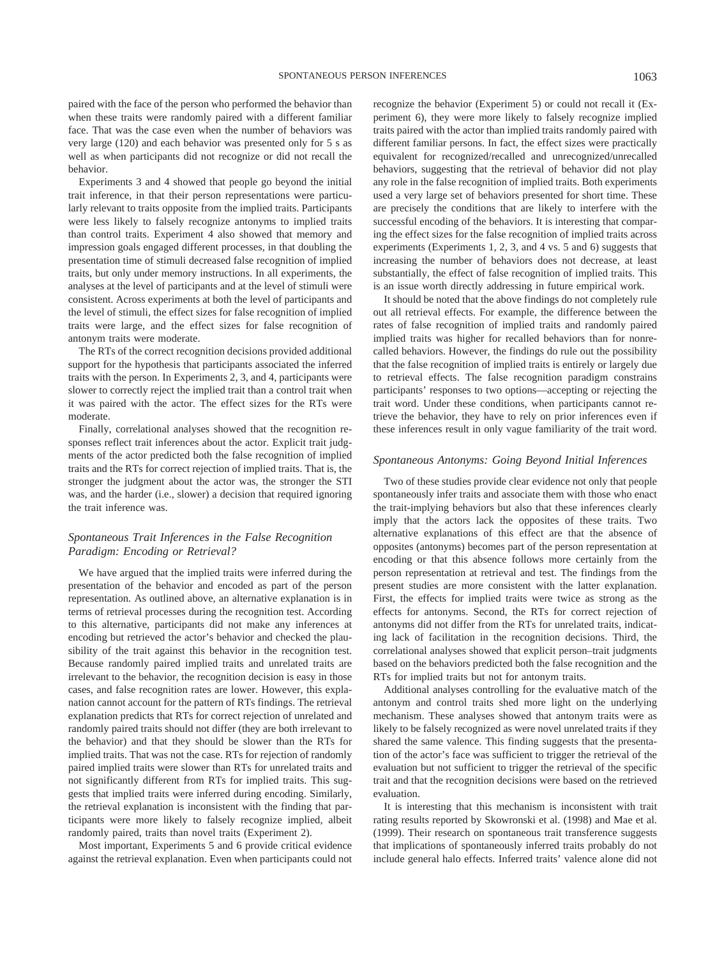paired with the face of the person who performed the behavior than when these traits were randomly paired with a different familiar face. That was the case even when the number of behaviors was very large (120) and each behavior was presented only for 5 s as well as when participants did not recognize or did not recall the behavior.

Experiments 3 and 4 showed that people go beyond the initial trait inference, in that their person representations were particularly relevant to traits opposite from the implied traits. Participants were less likely to falsely recognize antonyms to implied traits than control traits. Experiment 4 also showed that memory and impression goals engaged different processes, in that doubling the presentation time of stimuli decreased false recognition of implied traits, but only under memory instructions. In all experiments, the analyses at the level of participants and at the level of stimuli were consistent. Across experiments at both the level of participants and the level of stimuli, the effect sizes for false recognition of implied traits were large, and the effect sizes for false recognition of antonym traits were moderate.

The RTs of the correct recognition decisions provided additional support for the hypothesis that participants associated the inferred traits with the person. In Experiments 2, 3, and 4, participants were slower to correctly reject the implied trait than a control trait when it was paired with the actor. The effect sizes for the RTs were moderate.

Finally, correlational analyses showed that the recognition responses reflect trait inferences about the actor. Explicit trait judgments of the actor predicted both the false recognition of implied traits and the RTs for correct rejection of implied traits. That is, the stronger the judgment about the actor was, the stronger the STI was, and the harder (i.e., slower) a decision that required ignoring the trait inference was.

## *Spontaneous Trait Inferences in the False Recognition Paradigm: Encoding or Retrieval?*

We have argued that the implied traits were inferred during the presentation of the behavior and encoded as part of the person representation. As outlined above, an alternative explanation is in terms of retrieval processes during the recognition test. According to this alternative, participants did not make any inferences at encoding but retrieved the actor's behavior and checked the plausibility of the trait against this behavior in the recognition test. Because randomly paired implied traits and unrelated traits are irrelevant to the behavior, the recognition decision is easy in those cases, and false recognition rates are lower. However, this explanation cannot account for the pattern of RTs findings. The retrieval explanation predicts that RTs for correct rejection of unrelated and randomly paired traits should not differ (they are both irrelevant to the behavior) and that they should be slower than the RTs for implied traits. That was not the case. RTs for rejection of randomly paired implied traits were slower than RTs for unrelated traits and not significantly different from RTs for implied traits. This suggests that implied traits were inferred during encoding. Similarly, the retrieval explanation is inconsistent with the finding that participants were more likely to falsely recognize implied, albeit randomly paired, traits than novel traits (Experiment 2).

Most important, Experiments 5 and 6 provide critical evidence against the retrieval explanation. Even when participants could not recognize the behavior (Experiment 5) or could not recall it (Experiment 6), they were more likely to falsely recognize implied traits paired with the actor than implied traits randomly paired with different familiar persons. In fact, the effect sizes were practically equivalent for recognized/recalled and unrecognized/unrecalled behaviors, suggesting that the retrieval of behavior did not play any role in the false recognition of implied traits. Both experiments used a very large set of behaviors presented for short time. These are precisely the conditions that are likely to interfere with the successful encoding of the behaviors. It is interesting that comparing the effect sizes for the false recognition of implied traits across experiments (Experiments 1, 2, 3, and 4 vs. 5 and 6) suggests that increasing the number of behaviors does not decrease, at least substantially, the effect of false recognition of implied traits. This is an issue worth directly addressing in future empirical work.

It should be noted that the above findings do not completely rule out all retrieval effects. For example, the difference between the rates of false recognition of implied traits and randomly paired implied traits was higher for recalled behaviors than for nonrecalled behaviors. However, the findings do rule out the possibility that the false recognition of implied traits is entirely or largely due to retrieval effects. The false recognition paradigm constrains participants' responses to two options—accepting or rejecting the trait word. Under these conditions, when participants cannot retrieve the behavior, they have to rely on prior inferences even if these inferences result in only vague familiarity of the trait word.

## *Spontaneous Antonyms: Going Beyond Initial Inferences*

Two of these studies provide clear evidence not only that people spontaneously infer traits and associate them with those who enact the trait-implying behaviors but also that these inferences clearly imply that the actors lack the opposites of these traits. Two alternative explanations of this effect are that the absence of opposites (antonyms) becomes part of the person representation at encoding or that this absence follows more certainly from the person representation at retrieval and test. The findings from the present studies are more consistent with the latter explanation. First, the effects for implied traits were twice as strong as the effects for antonyms. Second, the RTs for correct rejection of antonyms did not differ from the RTs for unrelated traits, indicating lack of facilitation in the recognition decisions. Third, the correlational analyses showed that explicit person–trait judgments based on the behaviors predicted both the false recognition and the RTs for implied traits but not for antonym traits.

Additional analyses controlling for the evaluative match of the antonym and control traits shed more light on the underlying mechanism. These analyses showed that antonym traits were as likely to be falsely recognized as were novel unrelated traits if they shared the same valence. This finding suggests that the presentation of the actor's face was sufficient to trigger the retrieval of the evaluation but not sufficient to trigger the retrieval of the specific trait and that the recognition decisions were based on the retrieved evaluation.

It is interesting that this mechanism is inconsistent with trait rating results reported by Skowronski et al. (1998) and Mae et al. (1999). Their research on spontaneous trait transference suggests that implications of spontaneously inferred traits probably do not include general halo effects. Inferred traits' valence alone did not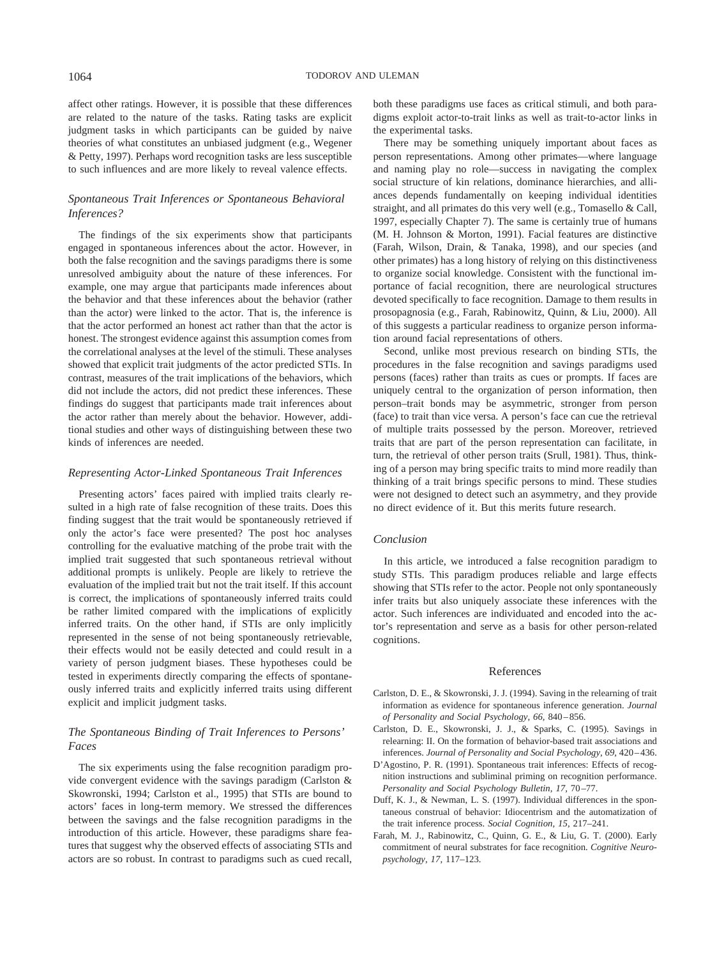affect other ratings. However, it is possible that these differences are related to the nature of the tasks. Rating tasks are explicit judgment tasks in which participants can be guided by naive theories of what constitutes an unbiased judgment (e.g., Wegener & Petty, 1997). Perhaps word recognition tasks are less susceptible to such influences and are more likely to reveal valence effects.

## *Spontaneous Trait Inferences or Spontaneous Behavioral Inferences?*

The findings of the six experiments show that participants engaged in spontaneous inferences about the actor. However, in both the false recognition and the savings paradigms there is some unresolved ambiguity about the nature of these inferences. For example, one may argue that participants made inferences about the behavior and that these inferences about the behavior (rather than the actor) were linked to the actor. That is, the inference is that the actor performed an honest act rather than that the actor is honest. The strongest evidence against this assumption comes from the correlational analyses at the level of the stimuli. These analyses showed that explicit trait judgments of the actor predicted STIs. In contrast, measures of the trait implications of the behaviors, which did not include the actors, did not predict these inferences. These findings do suggest that participants made trait inferences about the actor rather than merely about the behavior. However, additional studies and other ways of distinguishing between these two kinds of inferences are needed.

## *Representing Actor-Linked Spontaneous Trait Inferences*

Presenting actors' faces paired with implied traits clearly resulted in a high rate of false recognition of these traits. Does this finding suggest that the trait would be spontaneously retrieved if only the actor's face were presented? The post hoc analyses controlling for the evaluative matching of the probe trait with the implied trait suggested that such spontaneous retrieval without additional prompts is unlikely. People are likely to retrieve the evaluation of the implied trait but not the trait itself. If this account is correct, the implications of spontaneously inferred traits could be rather limited compared with the implications of explicitly inferred traits. On the other hand, if STIs are only implicitly represented in the sense of not being spontaneously retrievable, their effects would not be easily detected and could result in a variety of person judgment biases. These hypotheses could be tested in experiments directly comparing the effects of spontaneously inferred traits and explicitly inferred traits using different explicit and implicit judgment tasks.

## *The Spontaneous Binding of Trait Inferences to Persons' Faces*

The six experiments using the false recognition paradigm provide convergent evidence with the savings paradigm (Carlston & Skowronski, 1994; Carlston et al., 1995) that STIs are bound to actors' faces in long-term memory. We stressed the differences between the savings and the false recognition paradigms in the introduction of this article. However, these paradigms share features that suggest why the observed effects of associating STIs and actors are so robust. In contrast to paradigms such as cued recall, both these paradigms use faces as critical stimuli, and both paradigms exploit actor-to-trait links as well as trait-to-actor links in the experimental tasks.

There may be something uniquely important about faces as person representations. Among other primates—where language and naming play no role—success in navigating the complex social structure of kin relations, dominance hierarchies, and alliances depends fundamentally on keeping individual identities straight, and all primates do this very well (e.g., Tomasello & Call, 1997, especially Chapter 7). The same is certainly true of humans (M. H. Johnson & Morton, 1991). Facial features are distinctive (Farah, Wilson, Drain, & Tanaka, 1998), and our species (and other primates) has a long history of relying on this distinctiveness to organize social knowledge. Consistent with the functional importance of facial recognition, there are neurological structures devoted specifically to face recognition. Damage to them results in prosopagnosia (e.g., Farah, Rabinowitz, Quinn, & Liu, 2000). All of this suggests a particular readiness to organize person information around facial representations of others.

Second, unlike most previous research on binding STIs, the procedures in the false recognition and savings paradigms used persons (faces) rather than traits as cues or prompts. If faces are uniquely central to the organization of person information, then person–trait bonds may be asymmetric, stronger from person (face) to trait than vice versa. A person's face can cue the retrieval of multiple traits possessed by the person. Moreover, retrieved traits that are part of the person representation can facilitate, in turn, the retrieval of other person traits (Srull, 1981). Thus, thinking of a person may bring specific traits to mind more readily than thinking of a trait brings specific persons to mind. These studies were not designed to detect such an asymmetry, and they provide no direct evidence of it. But this merits future research.

## *Conclusion*

In this article, we introduced a false recognition paradigm to study STIs. This paradigm produces reliable and large effects showing that STIs refer to the actor. People not only spontaneously infer traits but also uniquely associate these inferences with the actor. Such inferences are individuated and encoded into the actor's representation and serve as a basis for other person-related cognitions.

#### References

- Carlston, D. E., & Skowronski, J. J. (1994). Saving in the relearning of trait information as evidence for spontaneous inference generation. *Journal of Personality and Social Psychology, 66,* 840–856.
- Carlston, D. E., Skowronski, J. J., & Sparks, C. (1995). Savings in relearning: II. On the formation of behavior-based trait associations and inferences. *Journal of Personality and Social Psychology, 69,* 420–436.
- D'Agostino, P. R. (1991). Spontaneous trait inferences: Effects of recognition instructions and subliminal priming on recognition performance. *Personality and Social Psychology Bulletin, 17,* 70–77.
- Duff, K. J., & Newman, L. S. (1997). Individual differences in the spontaneous construal of behavior: Idiocentrism and the automatization of the trait inference process. *Social Cognition, 15,* 217–241.
- Farah, M. J., Rabinowitz, C., Quinn, G. E., & Liu, G. T. (2000). Early commitment of neural substrates for face recognition. *Cognitive Neuropsychology, 17,* 117–123.